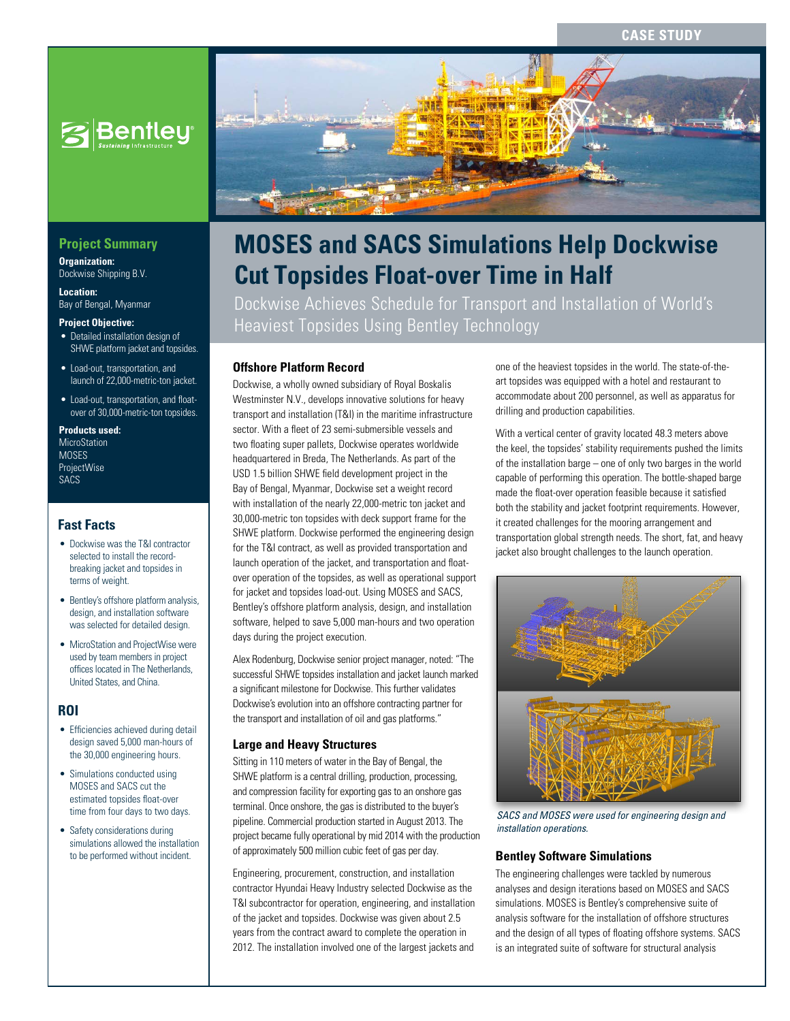

# **Project Summary**

**Organization:**  Dockwise Shipping B.V.

**Location:**  Bay of Bengal, Myanmar

#### **Project Objective:**

- Detailed installation design of SHWE platform jacket and topsides.
- Load-out, transportation, and launch of 22,000-metric-ton jacket.
- Load-out, transportation, and floatover of 30,000-metric-ton topsides.

#### **Products used:**

**MicroStation** MOSES ProjectWise SACS

## **Fast Facts**

- Dockwise was the T&I contractor selected to install the recordbreaking jacket and topsides in terms of weight.
- Bentley's offshore platform analysis, design, and installation software was selected for detailed design.
- MicroStation and ProjectWise were used by team members in project offices located in The Netherlands, United States, and China.

# **ROI**

- Efficiencies achieved during detail design saved 5,000 man-hours of the 30,000 engineering hours.
- Simulations conducted using MOSES and SACS cut the estimated topsides float-over time from four days to two days.
- Safety considerations during simulations allowed the installation to be performed without incident.



# **MOSES and SACS Simulations Help Dockwise Cut Topsides Float-over Time in Half**

Dockwise Achieves Schedule for Transport and Installation of World's Heaviest Topsides Using Bentley Technology

## **Offshore Platform Record**

Dockwise, a wholly owned subsidiary of Royal Boskalis Westminster N.V., develops innovative solutions for heavy transport and installation (T&I) in the maritime infrastructure sector. With a fleet of 23 semi-submersible vessels and two floating super pallets, Dockwise operates worldwide headquartered in Breda, The Netherlands. As part of the USD 1.5 billion SHWE field development project in the Bay of Bengal, Myanmar, Dockwise set a weight record with installation of the nearly 22,000-metric ton jacket and 30,000-metric ton topsides with deck support frame for the SHWE platform. Dockwise performed the engineering design for the T&I contract, as well as provided transportation and launch operation of the jacket, and transportation and floatover operation of the topsides, as well as operational support for jacket and topsides load-out. Using MOSES and SACS, Bentley's offshore platform analysis, design, and installation software, helped to save 5,000 man-hours and two operation days during the project execution.

Alex Rodenburg, Dockwise senior project manager, noted: "The successful SHWE topsides installation and jacket launch marked a significant milestone for Dockwise. This further validates Dockwise's evolution into an offshore contracting partner for the transport and installation of oil and gas platforms."

## **Large and Heavy Structures**

Sitting in 110 meters of water in the Bay of Bengal, the SHWE platform is a central drilling, production, processing, and compression facility for exporting gas to an onshore gas terminal. Once onshore, the gas is distributed to the buyer's pipeline. Commercial production started in August 2013. The project became fully operational by mid 2014 with the production of approximately 500 million cubic feet of gas per day.

Engineering, procurement, construction, and installation contractor Hyundai Heavy Industry selected Dockwise as the T&I subcontractor for operation, engineering, and installation of the jacket and topsides. Dockwise was given about 2.5 years from the contract award to complete the operation in 2012. The installation involved one of the largest jackets and one of the heaviest topsides in the world. The state-of-theart topsides was equipped with a hotel and restaurant to accommodate about 200 personnel, as well as apparatus for drilling and production capabilities.

With a vertical center of gravity located 48.3 meters above the keel, the topsides' stability requirements pushed the limits of the installation barge – one of only two barges in the world capable of performing this operation. The bottle-shaped barge made the float-over operation feasible because it satisfied both the stability and jacket footprint requirements. However, it created challenges for the mooring arrangement and transportation global strength needs. The short, fat, and heavy jacket also brought challenges to the launch operation.



*SACS and MOSES were used for engineering design and installation operations.*

#### **Bentley Software Simulations**

The engineering challenges were tackled by numerous analyses and design iterations based on MOSES and SACS simulations. MOSES is Bentley's comprehensive suite of analysis software for the installation of offshore structures and the design of all types of floating offshore systems. SACS is an integrated suite of software for structural analysis